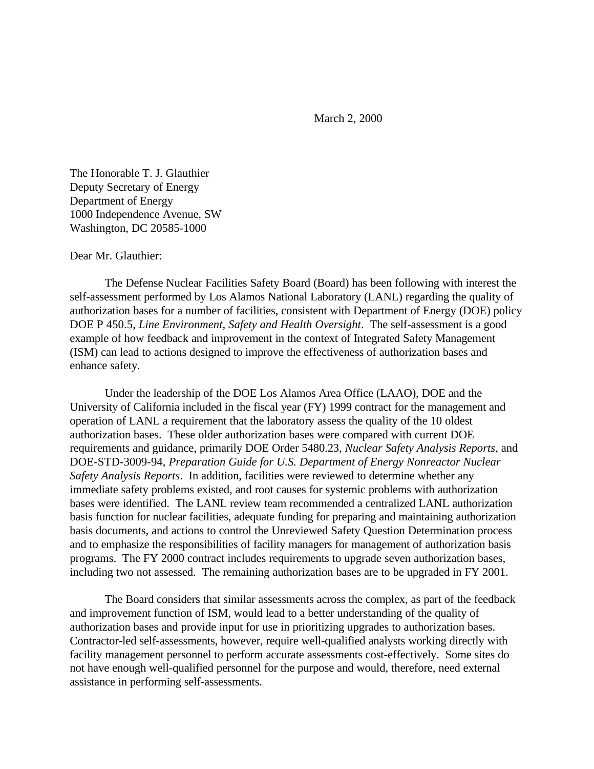March 2, 2000

The Honorable T. J. Glauthier Deputy Secretary of Energy Department of Energy 1000 Independence Avenue, SW Washington, DC 20585-1000

## Dear Mr. Glauthier:

The Defense Nuclear Facilities Safety Board (Board) has been following with interest the self-assessment performed by Los Alamos National Laboratory (LANL) regarding the quality of authorization bases for a number of facilities, consistent with Department of Energy (DOE) policy DOE P 450.5, *Line Environment, Safety and Health Oversight*. The self-assessment is a good example of how feedback and improvement in the context of Integrated Safety Management (ISM) can lead to actions designed to improve the effectiveness of authorization bases and enhance safety.

Under the leadership of the DOE Los Alamos Area Office (LAAO), DOE and the University of California included in the fiscal year (FY) 1999 contract for the management and operation of LANL a requirement that the laboratory assess the quality of the 10 oldest authorization bases. These older authorization bases were compared with current DOE requirements and guidance, primarily DOE Order 5480.23, *Nuclear Safety Analysis Reports*, and DOE-STD-3009-94, *Preparation Guide for U.S. Department of Energy Nonreactor Nuclear Safety Analysis Reports*. In addition, facilities were reviewed to determine whether any immediate safety problems existed, and root causes for systemic problems with authorization bases were identified. The LANL review team recommended a centralized LANL authorization basis function for nuclear facilities, adequate funding for preparing and maintaining authorization basis documents, and actions to control the Unreviewed Safety Question Determination process and to emphasize the responsibilities of facility managers for management of authorization basis programs. The FY 2000 contract includes requirements to upgrade seven authorization bases, including two not assessed. The remaining authorization bases are to be upgraded in FY 2001.

The Board considers that similar assessments across the complex, as part of the feedback and improvement function of ISM, would lead to a better understanding of the quality of authorization bases and provide input for use in prioritizing upgrades to authorization bases. Contractor-led self-assessments, however, require well-qualified analysts working directly with facility management personnel to perform accurate assessments cost-effectively. Some sites do not have enough well-qualified personnel for the purpose and would, therefore, need external assistance in performing self-assessments.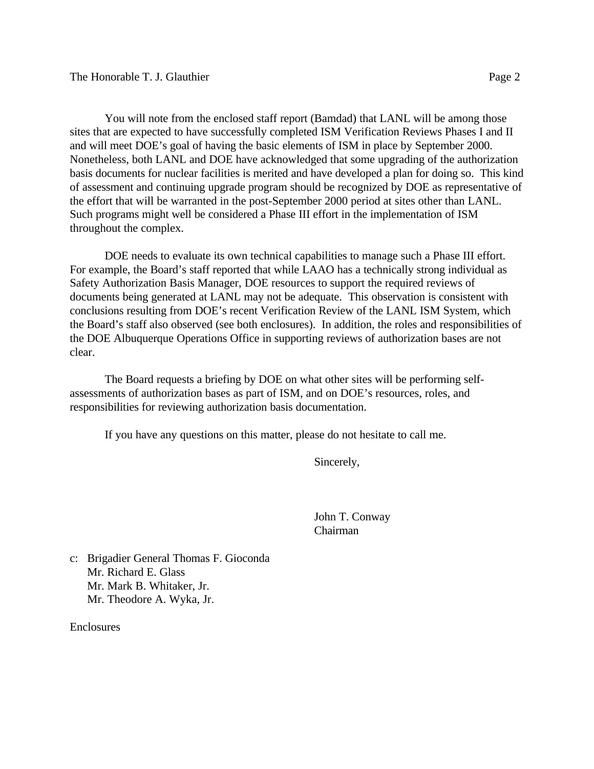You will note from the enclosed staff report (Bamdad) that LANL will be among those sites that are expected to have successfully completed ISM Verification Reviews Phases I and II and will meet DOE's goal of having the basic elements of ISM in place by September 2000. Nonetheless, both LANL and DOE have acknowledged that some upgrading of the authorization basis documents for nuclear facilities is merited and have developed a plan for doing so. This kind of assessment and continuing upgrade program should be recognized by DOE as representative of the effort that will be warranted in the post-September 2000 period at sites other than LANL. Such programs might well be considered a Phase III effort in the implementation of ISM

throughout the complex.

DOE needs to evaluate its own technical capabilities to manage such a Phase III effort. For example, the Board's staff reported that while LAAO has a technically strong individual as Safety Authorization Basis Manager, DOE resources to support the required reviews of documents being generated at LANL may not be adequate. This observation is consistent with conclusions resulting from DOE's recent Verification Review of the LANL ISM System, which the Board's staff also observed (see both enclosures). In addition, the roles and responsibilities of the DOE Albuquerque Operations Office in supporting reviews of authorization bases are not clear.

The Board requests a briefing by DOE on what other sites will be performing selfassessments of authorization bases as part of ISM, and on DOE's resources, roles, and responsibilities for reviewing authorization basis documentation.

If you have any questions on this matter, please do not hesitate to call me.

Sincerely,

John T. Conway Chairman

c: Brigadier General Thomas F. Gioconda Mr. Richard E. Glass Mr. Mark B. Whitaker, Jr. Mr. Theodore A. Wyka, Jr.

**Enclosures**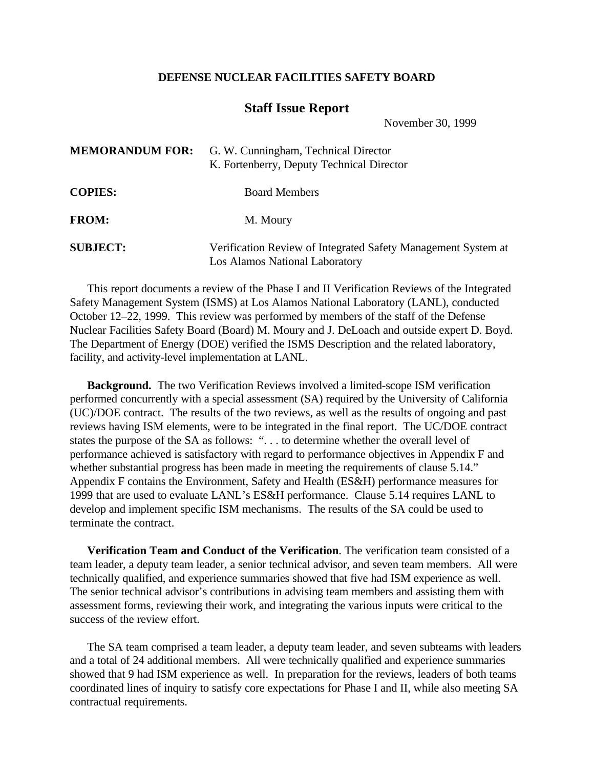## **DEFENSE NUCLEAR FACILITIES SAFETY BOARD**

## **Staff Issue Report**

November 30, 1999

|                 | <b>MEMORANDUM FOR:</b> G. W. Cunningham, Technical Director<br>K. Fortenberry, Deputy Technical Director |
|-----------------|----------------------------------------------------------------------------------------------------------|
| <b>COPIES:</b>  | <b>Board Members</b>                                                                                     |
| <b>FROM:</b>    | M. Moury                                                                                                 |
| <b>SUBJECT:</b> | Verification Review of Integrated Safety Management System at<br>Los Alamos National Laboratory          |

 $M_{\rm E}$   $\sim$   $M_{\rm E}$   $\sim$   $M_{\rm E}$   $\sim$   $M_{\rm E}$   $\sim$   $M_{\rm E}$   $\sim$   $M_{\rm E}$   $\sim$   $M_{\rm E}$   $\sim$   $M_{\rm E}$   $\sim$   $M_{\rm E}$   $\sim$   $M_{\rm E}$   $\sim$   $M_{\rm E}$   $\sim$   $M_{\rm E}$   $\sim$   $M_{\rm E}$   $\sim$   $M_{\rm E}$   $\sim$   $M_{\rm E}$   $\sim$   $M_{\rm E}$   $\$ 

This report documents a review of the Phase I and II Verification Reviews of the Integrated Safety Management System (ISMS) at Los Alamos National Laboratory (LANL), conducted October 12–22, 1999. This review was performed by members of the staff of the Defense Nuclear Facilities Safety Board (Board) M. Moury and J. DeLoach and outside expert D. Boyd. The Department of Energy (DOE) verified the ISMS Description and the related laboratory, facility, and activity-level implementation at LANL.

**Background.** The two Verification Reviews involved a limited-scope ISM verification performed concurrently with a special assessment (SA) required by the University of California (UC)/DOE contract. The results of the two reviews, as well as the results of ongoing and past reviews having ISM elements, were to be integrated in the final report. The UC/DOE contract states the purpose of the SA as follows: ". . . to determine whether the overall level of performance achieved is satisfactory with regard to performance objectives in Appendix F and whether substantial progress has been made in meeting the requirements of clause 5.14." Appendix F contains the Environment, Safety and Health (ES&H) performance measures for 1999 that are used to evaluate LANL's ES&H performance. Clause 5.14 requires LANL to develop and implement specific ISM mechanisms. The results of the SA could be used to terminate the contract.

**Verification Team and Conduct of the Verification**. The verification team consisted of a team leader, a deputy team leader, a senior technical advisor, and seven team members. All were technically qualified, and experience summaries showed that five had ISM experience as well. The senior technical advisor's contributions in advising team members and assisting them with assessment forms, reviewing their work, and integrating the various inputs were critical to the success of the review effort.

The SA team comprised a team leader, a deputy team leader, and seven subteams with leaders and a total of 24 additional members. All were technically qualified and experience summaries showed that 9 had ISM experience as well. In preparation for the reviews, leaders of both teams coordinated lines of inquiry to satisfy core expectations for Phase I and II, while also meeting SA contractual requirements.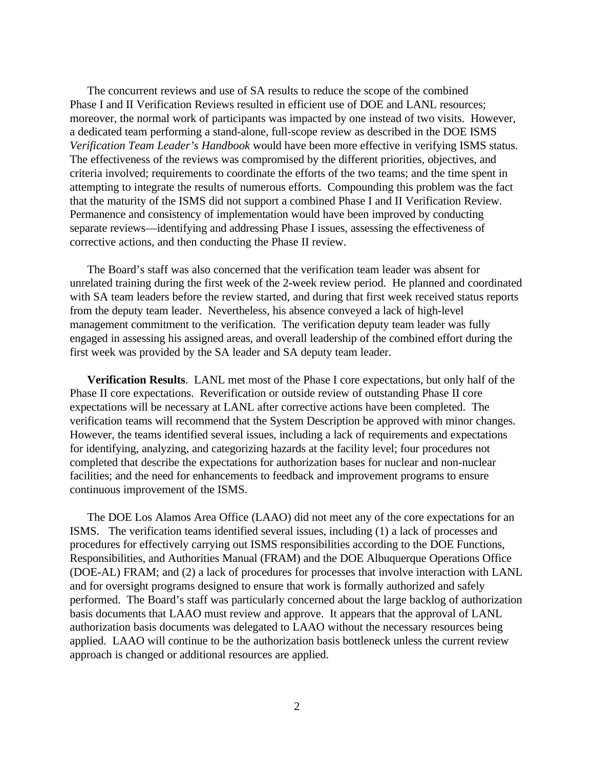The concurrent reviews and use of SA results to reduce the scope of the combined Phase I and II Verification Reviews resulted in efficient use of DOE and LANL resources; moreover, the normal work of participants was impacted by one instead of two visits. However, a dedicated team performing a stand-alone, full-scope review as described in the DOE ISMS *Verification Team Leader's Handbook* would have been more effective in verifying ISMS status. The effectiveness of the reviews was compromised by the different priorities, objectives, and criteria involved; requirements to coordinate the efforts of the two teams; and the time spent in attempting to integrate the results of numerous efforts. Compounding this problem was the fact that the maturity of the ISMS did not support a combined Phase I and II Verification Review. Permanence and consistency of implementation would have been improved by conducting separate reviews—identifying and addressing Phase I issues, assessing the effectiveness of corrective actions, and then conducting the Phase II review.

The Board's staff was also concerned that the verification team leader was absent for unrelated training during the first week of the 2-week review period. He planned and coordinated with SA team leaders before the review started, and during that first week received status reports from the deputy team leader. Nevertheless, his absence conveyed a lack of high-level management commitment to the verification. The verification deputy team leader was fully engaged in assessing his assigned areas, and overall leadership of the combined effort during the first week was provided by the SA leader and SA deputy team leader.

**Verification Results**. LANL met most of the Phase I core expectations, but only half of the Phase II core expectations. Reverification or outside review of outstanding Phase II core expectations will be necessary at LANL after corrective actions have been completed. The verification teams will recommend that the System Description be approved with minor changes. However, the teams identified several issues, including a lack of requirements and expectations for identifying, analyzing, and categorizing hazards at the facility level; four procedures not completed that describe the expectations for authorization bases for nuclear and non-nuclear facilities; and the need for enhancements to feedback and improvement programs to ensure continuous improvement of the ISMS.

The DOE Los Alamos Area Office (LAAO) did not meet any of the core expectations for an ISMS. The verification teams identified several issues, including (1) a lack of processes and procedures for effectively carrying out ISMS responsibilities according to the DOE Functions, Responsibilities, and Authorities Manual (FRAM) and the DOE Albuquerque Operations Office (DOE-AL) FRAM; and (2) a lack of procedures for processes that involve interaction with LANL and for oversight programs designed to ensure that work is formally authorized and safely performed. The Board's staff was particularly concerned about the large backlog of authorization basis documents that LAAO must review and approve. It appears that the approval of LANL authorization basis documents was delegated to LAAO without the necessary resources being applied. LAAO will continue to be the authorization basis bottleneck unless the current review approach is changed or additional resources are applied.